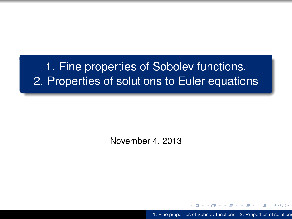# 1. Fine properties of Sobolev functions. 2. Properties of solutions to Euler equations

November 4, 2013

1. Fine properties of Sobolev functions. 2. Properties of solutions

<span id="page-0-0"></span> $2Q$ 

48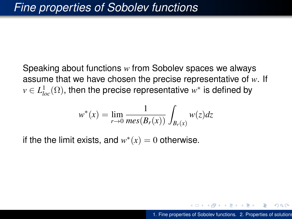Speaking about functions *w* from Sobolev spaces we always assume that we have chosen the precise representative of *w*. If  $v \in L^1_{loc}(\Omega),$  then the precise representative  $w^*$  is defined by

$$
w^*(x) = \lim_{r \to 0} \frac{1}{mes(B_r(x))} \int_{B_r(x)} w(z) dz
$$

if the the limit exists, and  $w^*(x) = 0$  otherwise.

K 何 ▶ K ヨ ▶ K ヨ ▶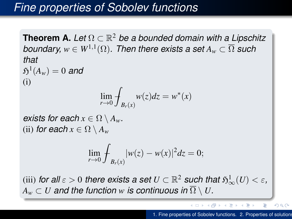## *Fine properties of Sobolev functions*

**Theorem A.** *Let* Ω ⊂ R <sup>2</sup> *be a bounded domain with a Lipschitz*  $b$ oundary,  $w \in W^{1,1}(\Omega)$ . Then there exists a set  $A_w \subset \overline{\Omega}$  such *that*  $\mathfrak{H}^{1}(A_{w})=0$  and (i) lim *r*→0  $\overline{+}$ *Br*(*x*)  $w(z)dz = w^*(x)$ *exists for each*  $x \in \Omega \setminus A_w$ *.* (ii) *for each*  $x \in \Omega \setminus A_w$ lim *r*→0  $\overline{f}$ *Br*(*x*)  $|w(z) - w(x)|^2 dz = 0;$ 

 $\mathcal{L}(\text{iii})$  *for all*  $\varepsilon > 0$  *there exists a set*  $U \subset \mathbb{R}^2$  *such that*  $\mathfrak{H}^1_\infty(U) < \varepsilon,$  $A_w \subset U$  *and the function w is continuous in*  $\overline{\Omega} \setminus U$ *.* 

 $\left\{ \bigoplus_k k \right\} \in \mathbb{R}^{n}$  is a defined of  $\mathbb{R}^{n}$  is

 $\equiv$ 

<span id="page-2-0"></span> $290$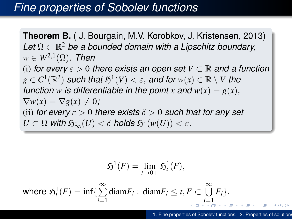### *Fine properties of Sobolev functions*

**Theorem B.** ( J. Bourgain, M.V. Korobkov, J. Kristensen, 2013) *Let* Ω ⊂ R <sup>2</sup> *be a bounded domain with a Lipschitz boundary,*  $w \in W^{2,1}(\Omega)$ . Then (i) *for every*  $\varepsilon > 0$  *there exists an open set*  $V \subset \mathbb{R}$  *and a function*  $g \in C^1(\mathbb{R}^2)$  *such that*  $\mathfrak{H}^1(V) < \varepsilon$ *, and for*  $w(x) \in \mathbb{R} \setminus V$  *the function w is differentiable in the point x* and  $w(x) = g(x)$ ,  $\nabla w(x) = \nabla g(x) \neq 0;$ (ii) *for every*  $\varepsilon > 0$  *there exists*  $\delta > 0$  *such that for any set*  $U \subset \overline{\Omega}$  with  $\mathfrak{H}^1_\infty(U) < \delta$  holds  $\mathfrak{H}^1(w(U)) < \varepsilon$ .

<span id="page-3-0"></span>
$$
\mathfrak{H}^1(F) = \lim_{t \to 0+} \mathfrak{H}^1_t(F),
$$

where  $\mathfrak{H}^1_t(F) = \inf \{ \sum_{i=1}^{\infty} \text{diam} F_i : \text{diam} F_i \le t, F \subset \bigcup_{i=1}^{\infty} F_i \}.$ *i*=1 *[i](#page-4-0)*[=](#page-2-0)[1](#page-3-0)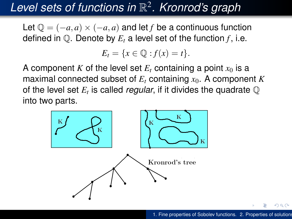# *Level sets of functions in* R 2 *. Kronrod's graph*

Let  $Q = (-a, a) \times (-a, a)$  and let *f* be a continuous function defined in  $\mathbb{Q}$ . Denote by  $E_t$  a level set of the function  $f$ , i.e.

<span id="page-4-0"></span> $E_t = \{x \in \mathbb{Q} : f(x) = t\}.$ 

A component *K* of the level set  $E_t$  containing a point  $x_0$  is a maximal connected subset of  $E_t$  containing  $x_0$ . A component  $K$ of the level set  $E_t$  is called *regular*, if it divides the quadrate  $\mathbb Q$ into two parts.

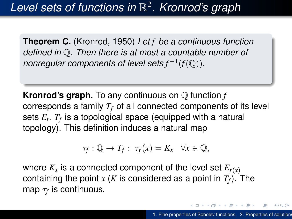**Theorem C.** (Kronrod, 1950) *Let f be a continuous function defined in* Q*. Then there is at most a countable number of nonregular components of level sets*  $f^{-1}(f(\overline{\mathbb{Q}}))$ .

**Kronrod's graph.** To any continuous on Q function *f* corresponds a family *T<sup>f</sup>* of all connected components of its level sets *E<sup>t</sup>* . *T<sup>f</sup>* is a topological space (equipped with a natural topology). This definition induces a natural map

$$
\tau_f: \mathbb{Q} \to T_f: \ \tau_f(x) = K_x \quad \forall x \in \mathbb{Q},
$$

where  $K_x$  is a connected component of the level set  $E_{f(x)}$ containing the point *x* (*K* is considered as a point in  $T_f$ ). The map  $\tau_f$  is continuous.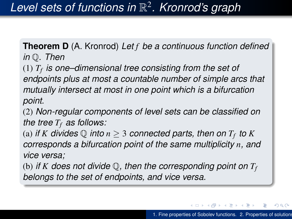**Theorem D** (A. Kronrod) *Let f be a continuous function defined in* Q*. Then*

(1) *T<sup>f</sup> is one–dimensional tree consisting from the set of endpoints plus at most a countable number of simple arcs that mutually intersect at most in one point which is a bifurcation point.*

(2) *Non-regular components of level sets can be classified on the tree T<sup>f</sup> as follows:*

(a) *if*  $K$  divides  $\mathbb Q$  *into*  $n \geq 3$  connected parts, then on  $T_f$  to  $K$ *corresponds a bifurcation point of the same multiplicity n, and vice versa;*

(b) *if K* does not divide  $\mathbb{Q}$ , then the corresponding point on  $T_f$ *belongs to the set of endpoints, and vice versa.*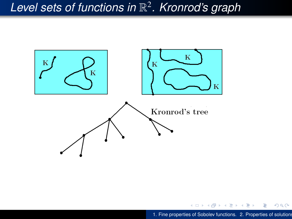# *Level sets of functions in* R 2 *. Kronrod's graph*



4 0 8

B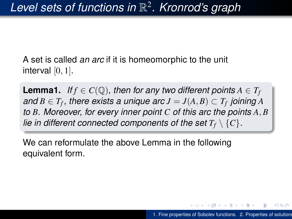A set is called *an arc* if it is homeomorphic to the unit interval  $[0, 1]$ .

**Lemma1.** *If*  $f \in C(\mathbb{Q})$ *, then for any two different points*  $A \in T_f$  $\mathcal{A}$  *and*  $B \in T_f$  *, there exists a unique arc*  $J = J(A, B) \subset T_f$  *joining*  $A$ *to B. Moreover, for every inner point C of this arc the points A*, *B lie in different connected components of the set*  $T_f \setminus \{C\}$ *.* 

We can reformulate the above Lemma in the following equivalent form.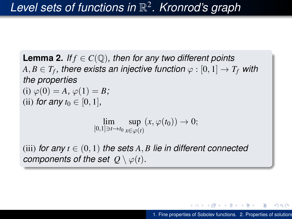**Lemma 2.** *If*  $f \in C(\mathbb{Q})$ , then for any two different points  $A,B\in T_f,$  there exists an injective function  $\varphi:[0,1]\rightarrow T_f$  with *the properties* (i)  $\varphi(0) = A$ ,  $\varphi(1) = B$ ; (ii) *for any*  $t_0 \in [0, 1]$ ,  $\lim_{[0,1] \ni t \to t_0} \sup_{x \in \varphi(i)}$ *x*∈ϕ(*t*)  $(x, \varphi(t_0)) \to 0;$ 

(iii) *for any*  $t \in (0, 1)$  *the sets*  $A, B$  *lie in different connected components of the set*  $Q \setminus \varphi(t)$ *.* 

 $\langle \oplus \rangle$  >  $\langle \oplus \rangle$  >  $\langle \oplus \rangle$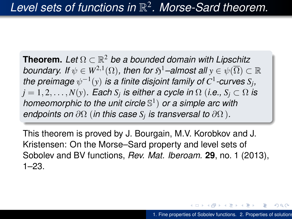**Theorem.** *Let* Ω ⊂ R <sup>2</sup> *be a bounded domain with Lipschitz boundary. If*  $\psi \in W^{2,1}(\Omega)$ *, then for*  $\mathfrak{H}^1$ *–almost all*  $y \in \psi(\overline{\Omega}) \subset \mathbb{R}$ the preimage  $\psi^{-1}(y)$  is a finite disjoint family of  $C^1$ -curves  $S_j$ ,  $j=1,2,\ldots,N(y).$  Each  $S_j$  is either a cycle in  $\Omega$  (i.e.,  $S_j\subset \Omega$  is *homeomorphic to the unit circle* S 1 ) *or a simple arc with endpoints on* ∂Ω (*in this case S<sup>j</sup> is transversal to* ∂Ω )*.*

This theorem is proved by J. Bourgain, M.V. Korobkov and J. Kristensen: On the Morse–Sard property and level sets of Sobolev and BV functions, *Rev. Mat. Iberoam.* **29**, no. 1 (2013), 1–23.

 $A \oplus A \times A \oplus A \times A \oplus A$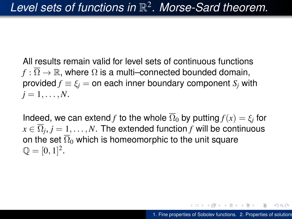All results remain valid for level sets of continuous functions  $f:\overline{\Omega}\to\mathbb{R}$ , where  $\Omega$  is a multi–connected bounded domain, provided  $f \equiv \xi_i = 0$  each inner boundary component  $S_i$  with  $j = 1, \ldots, N$ .

Indeed, we can extend  $f$  to the whole  $\Omega_0$  by putting  $f(x) = \xi_j$  for  $x \in \Omega_j, j = 1, \ldots, N.$  The extended function  $f$  will be continuous on the set  $\overline{\Omega}_0$  which is homeomorphic to the unit square  $\mathbb{Q} = [0, 1]^2.$ 

イ押 トメ ヨ トメ ヨ トー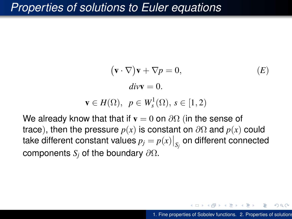### *Properties of solutions to Euler equations*

$$
(\mathbf{v} \cdot \nabla)\mathbf{v} + \nabla p = 0,
$$
  
\n
$$
div\mathbf{v} = 0.
$$
 (E)

$$
\mathbf{v} \in H(\Omega), \ \ p \in W_s^1(\Omega), \ s \in [1,2)
$$

We already know that that if  $\mathbf{v} = 0$  on  $\partial\Omega$  (in the sense of trace), then the pressure  $p(x)$  is constant on  $\partial\Omega$  and  $p(x)$  could take different constant values  $p_j = p(x)\big|_{S_j}$  on different connected components *S<sup>j</sup>* of the boundary ∂Ω.

つのへ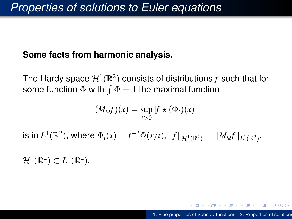#### **Some facts from harmonic analysis.**

The Hardy space  $\mathcal{H}^1(\mathbb{R}^2)$  consists of distributions  $f$  such that for some function  $\Phi$  with  $\int \Phi = 1$  the maximal function

$$
(M_{\Phi}f)(x) = \sup_{t>0} |f \star (\Phi_t)(x)|
$$

is in  $L^1(\mathbb{R}^2)$ , where  $\Phi_t(x) = t^{-2} \Phi(x/t)$ ,  $||f||_{\mathcal{H}^1(\mathbb{R}^2)} = ||M_{\Phi}f||_{L^1(\mathbb{R}^2)}$ .

 $\mathcal{H}^1(\mathbb{R}^2) \subset L^1(\mathbb{R}^2).$ 

<span id="page-13-0"></span>KED KAPD KED KED E YORO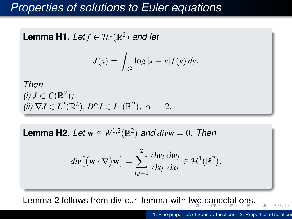## *Properties of solutions to Euler equations*

**Lemma H1.** *Let* 
$$
f \in \mathcal{H}^1(\mathbb{R}^2)
$$
 *and let*

$$
J(x) = \int_{\mathbb{R}^2} \log |x - y| f(y) dy.
$$

*Then (i) J*  $\in C(\mathbb{R}^2)$ ;  $(iii) \nabla J \in L^2(\mathbb{R}^2), D^{\alpha} J \in L^1(\mathbb{R}^2), |\alpha| = 2.$ 

**Lemma H2.** Let  $w \in W^{1,2}(\mathbb{R}^2)$  and  $divw = 0$ . Then

<span id="page-14-0"></span>
$$
div[(\mathbf{w}\cdot\nabla)\mathbf{w}]=\sum_{i,j=1}^2\frac{\partial w_i}{\partial x_j}\frac{\partial w_j}{\partial x_i}\in\mathcal{H}^1(\mathbb{R}^2).
$$

Lemma 2 follows from div-curl lemma with [tw](#page-13-0)[o](#page-15-0) [c](#page-13-0)[an](#page-14-0)[c](#page-15-0)[el](#page-0-0)[ati](#page-30-0)[on](#page-0-0)[s.](#page-30-0)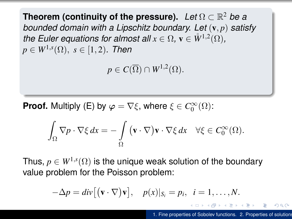**Theorem (continuity of the pressure).** *Let* Ω ⊂ R <sup>2</sup> *be a bounded domain with a Lipschitz boundary. Let* (v, *p*) *satisfy the Euler equations for almost all*  $x \in \Omega$ ,  $\mathbf{v} \in \mathring{W}^{1,2}(\Omega)$ ,  $p\in W^{1,s}(\Omega),\ s\in [1,2)$ . Then

 $p \in C(\overline{\Omega}) \cap W^{1,2}(\Omega).$ 

**Proof.** Multiply (E) by  $\varphi = \nabla \xi$ , where  $\xi \in C_0^{\infty}(\Omega)$ :

$$
\int_{\Omega} \nabla p \cdot \nabla \xi \, dx = -\int_{\Omega} (\mathbf{v} \cdot \nabla) \mathbf{v} \cdot \nabla \xi \, dx \quad \forall \xi \in C_0^{\infty}(\Omega).
$$

Thus,  $p \in W^{1,s}(\Omega)$  is the unique weak solution of the boundary value problem for the Poisson problem:

$$
-\Delta p = div[(\mathbf{v}\cdot\nabla)\mathbf{v}], \quad p(x)|_{S_i} = p_i, \ \ i=1,\ldots,N.
$$

<span id="page-15-0"></span>KED KAPD KED KED E YORG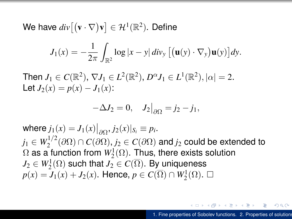We have  $div\big[(\mathbf{v}\cdot\nabla)\mathbf{v}\big]\in\mathcal{H}^1(\mathbb{R}^2).$  Define

$$
J_1(x) = -\frac{1}{2\pi} \int_{\mathbb{R}^2} \log |x - y| \, div_y \left[ \left( \mathbf{u}(y) \cdot \nabla_y \right) \mathbf{u}(y) \right] dy.
$$

Then  $J_1 \in C(\mathbb{R}^2)$ ,  $\nabla J_1 \in L^2(\mathbb{R}^2)$ ,  $D^{\alpha} J_1 \in L^1(\mathbb{R}^2)$ ,  $|\alpha| = 2$ . Let  $J_2(x) = p(x) - J_1(x)$ :

$$
-\Delta J_2 = 0, \quad J_2\big|_{\partial\Omega} = j_2 - j_1,
$$

 $\mathsf{where} \ j_1(x) = J_1(x)|_{\partial \Omega}, j_2(x)|_{S_i} \equiv p_i.$  $j_1 \in W_2^{1/2}$  $2^{1/2}$ (∂Ω) ∩  $C(∂Ω)$ ,  $j_2 ∈ C(∂Ω)$  and  $j_2$  could be extended to  $\Omega$  as a function from  $W^1_2(\Omega).$  Thus, there exists solution  $J_2 \in W^1_2(\Omega)$  such that  $J_2 \in C(\overline{\Omega})$ . By\_uniqueness  $p(x) = J_1(x) + J_2(x)$ . Hence,  $p \in C(\overline{\Omega}) \cap W_2^1(\Omega)$ . □

イロン イ母ン イヨン イヨン・ヨー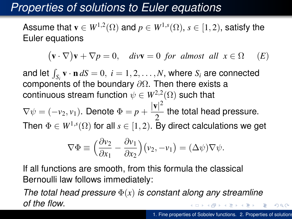# *Properties of solutions to Euler equations*

Assume that  $\mathbf{v} \in W^{1,2}(\Omega)$  and  $p \in W^{1,s}(\Omega),$   $s \in [1,2),$  satisfy the Euler equations

$$
(\mathbf{v} \cdot \nabla)\mathbf{v} + \nabla p = 0
$$
,  $\text{div}\mathbf{v} = 0$  for almost all  $x \in \Omega$  (E)

and let  $\int_{S_i} \mathbf{v} \cdot \mathbf{n} dS = 0$ ,  $i = 1, 2, ..., N$ , where  $S_i$  are connected components of the boundary  $\partial\Omega$ . Then there exists a continuous stream function  $\psi \in W^{2,2}(\Omega)$  such that

 $\nabla \psi = (-v_2, v_1)$ . Denote  $\Phi = p + \frac{|\mathbf{v}|^2}{2}$  $\frac{1}{2}$  the total head pressure.

Then  $\Phi \in W^{1,s}(\Omega)$  for all  $s \in [1,2).$  By direct calculations we get

$$
\nabla \Phi \equiv \left(\frac{\partial v_2}{\partial x_1} - \frac{\partial v_1}{\partial x_2}\right) (v_2, -v_1) = (\Delta \psi) \nabla \psi.
$$

If all functions are smooth, from this formula the classical Bernoulli law follows immediately:

*The total head pressure* Φ(*x*) *is constant along any streamline of the flow*.

 $290$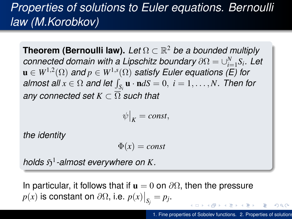# *Properties of solutions to Euler equations. Bernoulli law (M.Korobkov)*

**Theorem (Bernoulli law).** *Let* Ω ⊂ R <sup>2</sup> *be a bounded multiply connected domain with a Lipschitz boundary*  $\partial \Omega = \cup_{i=1}^N S_i$ *. Let*  $\mathbf{u} \in W^{1,2}(\Omega)$  and  $p \in W^{1,s}(\Omega)$  satisfy Euler equations (E) for  $\boldsymbol{a}$ lmost  $\boldsymbol{a}$ ll  $x \in \Omega$  and let  $\int_{\mathcal{S}_i} \boldsymbol{u} \cdot \boldsymbol{n} dS = 0, \ i = 1, \ldots, N$ . Then for *any connected set*  $K \subset \overline{\Omega}$  *such that* 

$$
\psi\big|_K = const,
$$

*the identity*

$$
\Phi(x) = const
$$

*holds*  $\mathfrak{H}^1$ -almost everywhere on K.

In particular, it follows that if  $\mathbf{u} = 0$  on  $\partial \Omega$ , then the pressure  $p(x)$  is constant on  $\partial\Omega$ , i.e.  $p(x)|_{S_j} = p_j$ . **K ロ ⊁ K 伊 ⊁ K**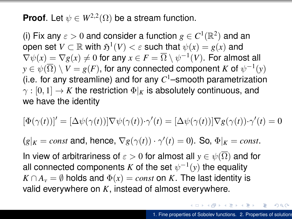**Proof**. Let  $\psi \in W^{2,2}(\Omega)$  be a stream function.

(i) Fix any  $\varepsilon > 0$  and consider a function  $g \in C^1(\mathbb{R}^2)$  and an  $\mathsf{open} \; \mathsf{set} \; V \subset \mathbb{R} \; \mathsf{with} \; \mathfrak{H}^1(V) < \varepsilon \; \mathsf{such} \; \mathsf{that} \; \psi(x) = g(x) \; \mathsf{and}$  $\nabla\psi(x)=\nabla g(x)\neq 0$  for any  $x\in F=\overline{\Omega}\setminus \psi^{-1}(V).$  For almost all  $y\in \psi(\overline{\Omega})\setminus V=g(F),$  for any connected component  $K$  of  $\psi^{-1}(y)$ (i.e. for any streamline) and for any *C* <sup>1</sup>–smooth parametrization  $\gamma : [0, 1] \to K$  the restriction  $\Phi|_K$  is absolutely continuous, and we have the identity

$$
[\Phi(\gamma(t))]' = [\Delta \psi(\gamma(t))] \nabla \psi(\gamma(t)) \cdot \gamma'(t) = [\Delta \psi(\gamma(t))] \nabla g(\gamma(t)) \cdot \gamma'(t) = 0
$$

 $(g|_K = const$  and, hence,  $\nabla g(\gamma(t)) \cdot \gamma'(t) = 0$ ). So,  $\Phi|_K = const$ .

In view of arbitrariness of  $\varepsilon > 0$  for almost all  $y \in \psi(\Omega)$  and for all connected components *K* of the set  $\psi^{-1}(y)$  the equality  $K \cap A_v = \emptyset$  holds and  $\Phi(x) = const$  on *K*. The last identity is valid everywhere on *K*, instead of almost everywhere.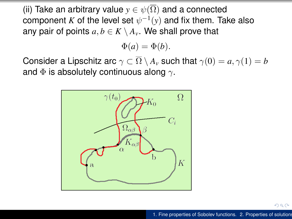(ii) Take an arbitrary value  $y \in \psi(\overline{\Omega})$  and a connected component  $K$  of the level set  $\psi^{-1}(y)$  and fix them. Take also any pair of points  $a, b \in K \setminus A_v$ . We shall prove that

 $\Phi(a) = \Phi(b)$ .

Consider a Lipschitz arc  $\gamma \subset \overline{\Omega} \setminus A_{\nu}$  such that  $\gamma(0) = a, \gamma(1) = b$ and  $\Phi$  is absolutely continuous along  $\gamma$ .



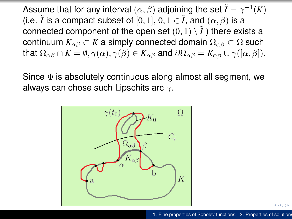Assume that for any interval  $(\alpha,\beta)$  adjoining the set  $\tilde{I}=\gamma^{-1}(K)$ (i.e.  $\tilde{I}$  is a compact subset of [0, 1],  $0, 1 \in \tilde{I}$ , and  $(\alpha, \beta)$  is a connected component of the open set  $(0, 1) \setminus I$  there exists a continuum  $K_{\alpha\beta} \subset K$  a simply connected domain  $\Omega_{\alpha\beta} \subset \Omega$  such that  $\Omega_{\alpha\beta} \cap K = \emptyset$ ,  $\gamma(\alpha)$ ,  $\gamma(\beta) \in K_{\alpha\beta}$  and  $\partial\Omega_{\alpha\beta} = K_{\alpha\beta} \cup \gamma([\alpha, \beta]).$ 

Since  $\Phi$  is absolutely continuous along almost all segment, we always can chose such Lipschits arc  $\gamma$ .



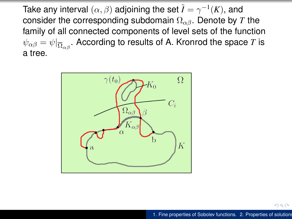Take any interval  $(\alpha,\beta)$  adjoining the set  $\tilde{I}=\gamma^{-1}(K),$  and consider the corresponding subdomain  $\Omega_{\alpha\beta}$ . Denote by *T* the family of all connected components of level sets of the function  $\psi_{\alpha\beta}=\psi|_{\overline{\Omega}_{\alpha\beta}}.$  According to results of A. Kronrod the space  $T$  is a tree.

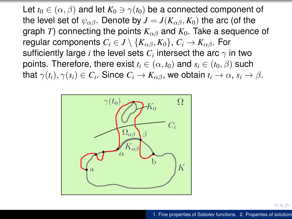Let  $t_0 \in (\alpha, \beta)$  and let  $K_0 \ni \gamma(t_0)$  be a connected component of the level set of  $\psi_{\alpha\beta}$ . Denote by  $J = J(K_{\alpha\beta}, K_0)$  the arc (of the graph *T*) connecting the points  $K_{\alpha\beta}$  and  $K_0$ . Take a sequence of regular components  $C_i \in J \setminus \{K_{\alpha\beta}, K_0\}, C_i \to K_{\alpha\beta}$ . For sufficiently large  $i$  the level sets  $C_i$  intersect the arc  $\gamma$  in two points. Therefore, there exist  $t_i \in (\alpha, t_0)$  and  $s_i \in (t_0, \beta)$  such that  $\gamma(t_i), \gamma(s_i) \in C_i.$  Since  $C_i \rightarrow K_{\alpha \beta},$  we obtain  $t_i \rightarrow \alpha, s_i \rightarrow \beta.$ 



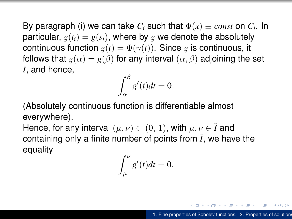By paragraph (i) we can take  $C_i$  such that  $\Phi(x)\equiv const$  on  $C_i.$  In particular,  $g(t_i) = g(s_i)$ , where by g we denote the absolutely continuous function  $g(t) = \Phi(\gamma(t))$ . Since *g* is continuous, it follows that  $g(\alpha) = g(\beta)$  for any interval  $(\alpha, \beta)$  adjoining the set  $\tilde{I}$ , and hence,

$$
\int_{\alpha}^{\beta} g'(t)dt = 0.
$$

(Absolutely continuous function is differentiable almost everywhere).

 $\bullet$ 

Hence, for any interval  $(\mu, \nu) \subset (0, 1)$ , with  $\mu, \nu \in \tilde{I}$  and containing only a finite number of points from  $\tilde{I}$ , we have the equality

$$
\int_{\mu}^{\nu} g'(t)dt = 0.
$$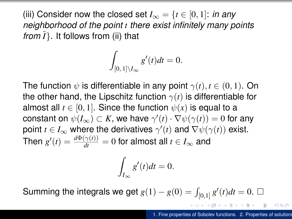(iii) Consider now the closed set  $I_{\infty} = \{t \in [0, 1]: \text{ in any }$ *neighborhood of the point t there exist infinitely many points from*  $\tilde{I}$ }. It follows from (ii) that

$$
\int_{[0,\,1]\setminus I_\infty}g'(t)dt=0.
$$

The function  $\psi$  is differentiable in any point  $\gamma(t)$ ,  $t \in (0,1)$ . On the other hand, the Lipschitz function  $\gamma(t)$  is differentiable for almost all  $t \in [0, 1]$ . Since the function  $\psi(x)$  is equal to a  $\mathsf{constant}$  on  $\psi(I_\infty) \subset K,$  we have  $\gamma'(t) \cdot \nabla \psi(\gamma(t)) = 0$  for any point  $t \in I_{\infty}$  where the derivatives  $\gamma'(t)$  and  $\nabla \psi(\gamma(t))$  exist. Then  $g'(t) = \frac{d\Phi(\gamma(t))}{dt} = 0$  for almost all  $t \in I_\infty$  and

$$
\int_{I_{\infty}} g'(t)dt = 0.
$$

Summing the integrals we get  $g(1) - g(0) = \int_{[0,1]} g'(t) dt = 0$ .

k,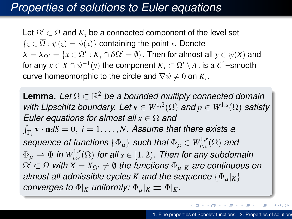## *Properties of solutions to Euler equations*

Let  $\Omega' \subset \Omega$  and  $K_x$  be a connected component of the level set  ${z \in \overline{\Omega} : \psi(z) = \psi(x)}$  containing the point *x*. Denote  $X = X_{\Omega'} = \{x \in \Omega': K_x \cap \partial \Omega' = \emptyset\}$ . Then for almost all  $y \in \psi(X)$  and for any  $x \in X \cap \psi^{-1}(y)$  the component  $K_x \subset \Omega' \setminus A_v$  is a  $C^1$ –smooth curve homeomorphic to the circle and  $\nabla \psi \neq 0$  on  $K_{\rm r}$ .

**Lemma.** *Let* Ω ⊂ R <sup>2</sup> *be a bounded multiply connected domain with Lipschitz boundary. Let*  $\mathbf{v} \in W^{1,2}(\Omega)$  and  $p \in W^{1,s}(\Omega)$  satisfy *Euler equations for almost all x* ∈ Ω *and*  $\int_{\Gamma_i} \mathbf{v} \cdot \mathbf{n} dS = 0, \ i = 1, \ldots, N$ . Assume that there exists a  $\textit{sequence of functions} \ \{\Phi_\mu\} \ \textit{such that} \ \Phi_\mu \in W_{loc}^{1,s}(\Omega) \ \textit{and}$  $\Phi_\mu \rightharpoonup \Phi$  *in*  $W^{1,s}_{loc}(\Omega)$  *for all*  $s \in [1,2)$ *. Then for any subdomain*  $\Omega' \subset \Omega$  with  $X = X_{\Omega'} \neq \emptyset$  the functions  $\Phi_\mu|_K$  are continuous on *almost all admissible cycles K and the sequence*  $\{\Phi_{\mu}|_K\}$ *converges to*  $\Phi|_K$  *uniformly:*  $\Phi_{\mu}|_K \rightrightarrows \Phi|_K$ *.* 

Þ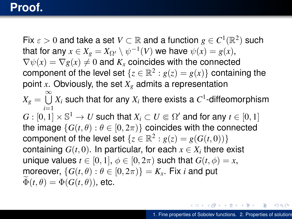## **Proof.**

Fix  $\varepsilon > 0$  and take a set  $V \subset \mathbb{R}$  and a function  $g \in C^1(\mathbb{R}^2)$  such that for any  $x \in X_g = X_{\Omega'} \setminus \psi^{-1}(V)$  we have  $\psi(x) = g(x)$ ,  $\nabla \psi(x) = \nabla g(x) \neq 0$  and  $K_x$  coincides with the connected component of the level set  $\{z \in \mathbb{R}^2 : g(z) = g(x)\}$  containing the point *x*. Obviously, the set *X<sup>g</sup>* admits a representation  $X_g = \bigcup^\infty X_i$  such that for any  $X_i$  there exists a  $C^1$ -diffeomorphism *i*=1  $G:[0,1]\times\mathbb{S}^1\to U$  such that  $X_i\subset U\Subset\Omega'$  and for any  $t\in[0,1]$ the image  $\{G(t, \theta) : \theta \in [0, 2\pi)\}\$ coincides with the connected component of the level set  $\{z \in \mathbb{R}^2 : g(z) = g(G(t, 0))\}$ containing  $G(t,0).$  In particular, for each  $x\in X_i$  there exist unique values  $t \in [0, 1], \phi \in [0, 2\pi)$  such that  $G(t, \phi) = x$ , moreover,  $\{G(t, \theta) : \theta \in [0, 2\pi)\} = K_x$ . Fix *i* and put  $\Phi(t, \theta) = \Phi(G(t, \theta))$ , etc.

E.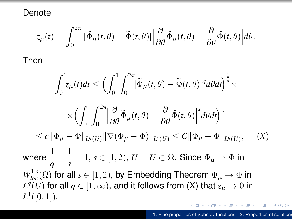Denote

$$
z_{\mu}(t) = \int_0^{2\pi} |\widetilde{\Phi}_{\mu}(t,\theta) - \widetilde{\Phi}(t,\theta)| \left| \frac{\partial}{\partial \theta} \widetilde{\Phi}_{\mu}(t,\theta) - \frac{\partial}{\partial \theta} \widetilde{\Phi}(t,\theta) \right| d\theta.
$$

Then

*L q*

 $L^1$ 

$$
\int_{0}^{1} z_{\mu}(t)dt \leq \left(\int_{0}^{1} \int_{0}^{2\pi} |\widetilde{\Phi}_{\mu}(t,\theta) - \widetilde{\Phi}(t,\theta)|^{q} d\theta dt\right)^{\frac{1}{q}} \times
$$
  

$$
\times \left(\int_{0}^{1} \int_{0}^{2\pi} |\frac{\partial}{\partial \theta} \widetilde{\Phi}_{\mu}(t,\theta) - \frac{\partial}{\partial \theta} \widetilde{\Phi}(t,\theta)|^{s} d\theta dt\right)^{\frac{1}{s}}
$$
  

$$
\leq c \|\Phi_{\mu} - \Phi\|_{L^{q}(U)} \|\nabla(\Phi_{\mu} - \Phi)\|_{L^{q}(U)} \leq C \|\Phi_{\mu} - \Phi\|_{L^{q}(U)}, \quad (X)
$$
  
where  $\frac{1}{q} + \frac{1}{s} = 1$ ,  $s \in [1, 2)$ ,  $U = \overline{U} \subset \Omega$ . Since  $\Phi_{\mu} \to \Phi$  in  
 $W_{loc}^{1,s}(\Omega)$  for all  $s \in [1, 2)$ , by Embedding Theorem  $\Phi_{\mu} \to \Phi$  in  
 $L^{q}(U)$  for all  $q \in [1, \infty)$ , and it follows from (X) that  $z_{\mu} \to 0$  in  
 $L^{1}([0, 1]).$ 

 $299$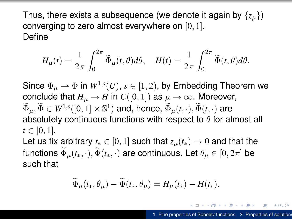Thus, there exists a subsequence (we denote it again by  $\{z_u\}$ ) converging to zero almost everywhere on [0, 1]. Define

$$
H_{\mu}(t) = \frac{1}{2\pi} \int_0^{2\pi} \widetilde{\Phi}_{\mu}(t,\theta) d\theta, \quad H(t) = \frac{1}{2\pi} \int_0^{2\pi} \widetilde{\Phi}(t,\theta) d\theta.
$$

Since  $\Phi_\mu \rightharpoonup \Phi$  in  $W^{1,s}(U),\,s\in[1,2),$  by Embedding Theorem we conclude that  $H_u \to H$  in  $C([0, 1])$  as  $\mu \to \infty$ . Moreover,  $\widetilde{\Phi}_{\mu}, \widetilde{\Phi} \in W^{1,s}([0,1] \times \mathbb{S}^1)$  and, hence,  $\widetilde{\Phi}_{\mu}(t,\cdot), \widetilde{\Phi}(t,\cdot)$  are absolutely continuous functions with respect to  $\theta$  for almost all  $t \in [0, 1].$ Let us fix arbitrary  $t_* \in [0, 1]$  such that  $z_\mu(t_*) \to 0$  and that the functions  $\widetilde{\Phi}_{\mu}(t_{*},\cdot), \widetilde{\Phi}(t_{*},\cdot)$  are continuous. Let  $\theta_{\mu} \in [0, 2\pi]$  be

such that

$$
\widetilde{\Phi}_{\mu}(t_*,\theta_{\mu}) - \widetilde{\Phi}(t_*,\theta_{\mu}) = H_{\mu}(t_*) - H(t_*).
$$

イロト イ押 トイヨ トイヨ トーヨー